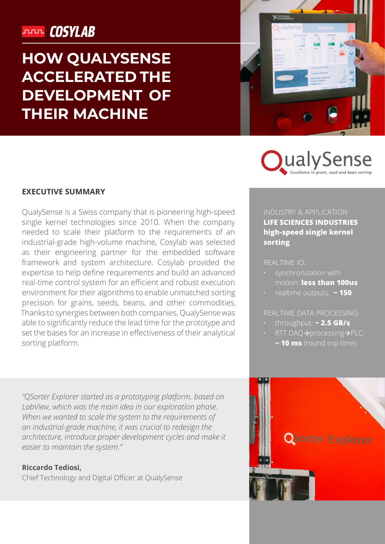## **JULIE COSYLAB**

# **HOW QUALYSENSE ACCELERATED THE DEVELOPMENT OF THEIR MACHINE**



**DualySer** 

#### **EXECUTIVE SUMMARY**

QualySense is a Swiss company that is pioneering high-speed single kernel technologies since 2010. When the company needed to scale their platform to the requirements of an industrial-grade high-volume machine, Cosylab was selected as their engineering partner for the embedded software framework and system architecture. Cosylab provided the expertise to help define requirements and build an advanced real-time control system for an efficient and robust execution environment for their algorithms to enable unmatched sorting precision for grains, seeds, beans, and other commodities. Thanks to synergies between both companies, QualySense was able to significantly reduce the lead time for the prototype and set the bases for an increase in effectiveness of their analytical sorting platform.

#### INDUSTRY & APPLICATION

**LIFE SCIENCES INDUSTRIES high-speed single kernel sorting**

REALTIME IO:

- synchronization with motion: **less than 100us**
- realtime outputs: **~ 150**

- throughput: **~ 2.5 GB/s**
- RTT DAQ→processing→PLC:
	- **~ 10 ms** (round trip time)

*"QSorter Explorer started as a prototyping platform, based on LabView, which was the main idea in our exploration phase. When we wanted to scale the system to the requirements of an industrial-grade machine, it was crucial to redesign the architecture, introduce proper development cycles and make it easier to maintain the system."* 

#### **Riccardo Tediosi,**

Chief Technology and Digital Officer at QualySense

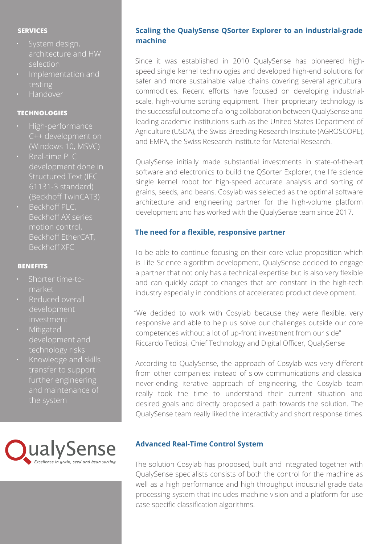#### **SERVICES**

- System design, architecture and HW selection
- Implementation and testing
- Handover

#### **TECHNOLOGIES**

- High-performance C++ development on (Windows 10, MSVC)
- Real-time PLC development done in Structured Text (IEC 61131-3 standard) (Beckhoff TwinCAT3)
- Beckhoff PLC, Beckhoff AX series motion control, Beckhoff EtherCAT, Beckhoff XFC

#### **BENEFITS**

- market
- Reduced overall development
- Mitigated development and technology risks
- Knowledge and skills transfer to support further engineering and maintenance of the system



### **Scaling the QualySense QSorter Explorer to an industrial-grade machine**

Since it was established in 2010 QualySense has pioneered highspeed single kernel technologies and developed high-end solutions for safer and more sustainable value chains covering several agricultural commodities. Recent efforts have focused on developing industrialscale, high-volume sorting equipment. Their proprietary technology is the successful outcome of a long collaboration between QualySense and leading academic institutions such as the United States Department of Agriculture (USDA), the Swiss Breeding Research Institute (AGROSCOPE), and EMPA, the Swiss Research Institute for Material Research.

QualySense initially made substantial investments in state-of-the-art software and electronics to build the QSorter Explorer, the life science single kernel robot for high-speed accurate analysis and sorting of grains, seeds, and beans. Cosylab was selected as the optimal software architecture and engineering partner for the high-volume platform development and has worked with the QualySense team since 2017.

#### **The need for a flexible, responsive partner**

To be able to continue focusing on their core value proposition which is Life Science algorithm development, QualySense decided to engage a partner that not only has a technical expertise but is also very flexible and can quickly adapt to changes that are constant in the high-tech industry especially in conditions of accelerated product development.

"We decided to work with Cosylab because they were flexible, very responsive and able to help us solve our challenges outside our core competences without a lot of up-front investment from our side" Riccardo Tediosi, Chief Technology and Digital Officer, QualySense

According to QualySense, the approach of Cosylab was very different from other companies: instead of slow communications and classical never-ending iterative approach of engineering, the Cosylab team really took the time to understand their current situation and desired goals and directly proposed a path towards the solution. The QualySense team really liked the interactivity and short response times.

#### **Advanced Real-Time Control System**

The solution Cosylab has proposed, built and integrated together with QualySense specialists consists of both the control for the machine as well as a high performance and high throughput industrial grade data processing system that includes machine vision and a platform for use case specific classification algorithms.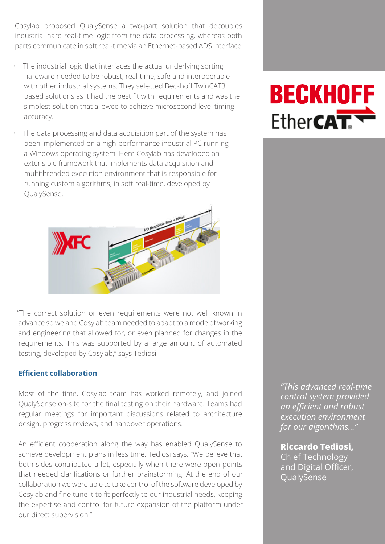Cosylab proposed QualySense a two-part solution that decouples industrial hard real-time logic from the data processing, whereas both parts communicate in soft real-time via an Ethernet-based ADS interface.

- The industrial logic that interfaces the actual underlying sorting hardware needed to be robust, real-time, safe and interoperable with other industrial systems. They selected Beckhoff TwinCAT3 based solutions as it had the best fit with requirements and was the simplest solution that allowed to achieve microsecond level timing accuracy.
- The data processing and data acquisition part of the system has been implemented on a high-performance industrial PC running a Windows operating system. Here Cosylab has developed an extensible framework that implements data acquisition and multithreaded execution environment that is responsible for running custom algorithms, in soft real-time, developed by QualySense.



"The correct solution or even requirements were not well known in advance so we and Cosylab team needed to adapt to a mode of working and engineering that allowed for, or even planned for changes in the requirements. This was supported by a large amount of automated testing, developed by Cosylab," says Tediosi.

#### **Efficient collaboration**

Most of the time, Cosylab team has worked remotely, and joined QualySense on-site for the final testing on their hardware. Teams had regular meetings for important discussions related to architecture design, progress reviews, and handover operations.

An efficient cooperation along the way has enabled QualySense to achieve development plans in less time, Tediosi says. "We believe that both sides contributed a lot, especially when there were open points that needed clarifications or further brainstorming. At the end of our collaboration we were able to take control of the software developed by Cosylab and fine tune it to fit perfectly to our industrial needs, keeping the expertise and control for future expansion of the platform under our direct supervision."

# **BECKHOFF** Ether**CAT**

*"This advanced real-time control system provided an efficient and robust execution environment for our algorithms..."*

**Riccardo Tediosi,**  Chief Technology and Digital Officer, **QualySense**